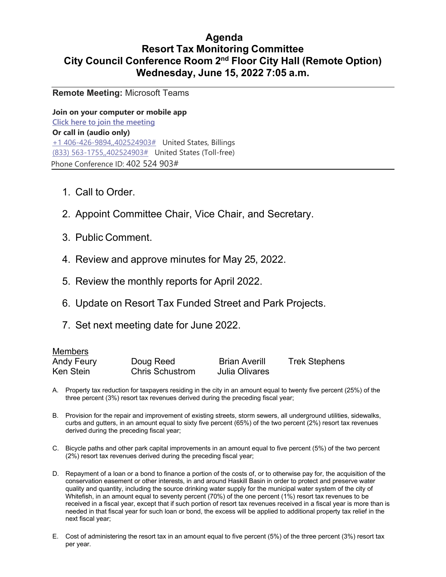## **Agenda Resort Tax Monitoring Committee City Council Conference Room 2nd Floor City Hall (Remote Option) Wednesday, June 15, 2022 7:05 a.m.**

**Remote Meeting:** Microsoft Teams

**Join on your computer or mobile app Click here to join the meeting Or call in (audio only)** +1 406-426-9894,,402524903# United States, Billings (833) 563-1755,,402524903# United States (Toll-free) Phone Conference ID: 402 524 903#

- 1. Call to Order.
- 2. Appoint Committee Chair, Vice Chair, and Secretary.
- 3. Public Comment.
- 4. Review and approve minutes for May 25, 2022.
- 5. Review the monthly reports for April 2022.
- 6. Update on Resort Tax Funded Street and Park Projects.
- 7. Set next meeting date for June 2022.

#### Members

| <b>Andy Feury</b> | Doug Reed              | <b>Brian Averill</b> | <b>Trek Stephens</b> |
|-------------------|------------------------|----------------------|----------------------|
| Ken Stein         | <b>Chris Schustrom</b> | Julia Olivares       |                      |

- A. Property tax reduction for taxpayers residing in the city in an amount equal to twenty five percent (25%) of the three percent (3%) resort tax revenues derived during the preceding fiscal year;
- B. Provision for the repair and improvement of existing streets, storm sewers, all underground utilities, sidewalks, curbs and gutters, in an amount equal to sixty five percent (65%) of the two percent (2%) resort tax revenues derived during the preceding fiscal year;
- C. Bicycle paths and other park capital improvements in an amount equal to five percent (5%) of the two percent (2%) resort tax revenues derived during the preceding fiscal year;
- D. Repayment of a loan or a bond to finance a portion of the costs of, or to otherwise pay for, the acquisition of the conservation easement or other interests, in and around Haskill Basin in order to protect and preserve water quality and quantity, including the source drinking water supply for the municipal water system of the city of Whitefish, in an amount equal to seventy percent (70%) of the one percent (1%) resort tax revenues to be received in a fiscal year, except that if such portion of resort tax revenues received in a fiscal year is more than is needed in that fiscal year for such loan or bond, the excess will be applied to additional property tax relief in the next fiscal year;
- E. Cost of administering the resort tax in an amount equal to five percent (5%) of the three percent (3%) resort tax per year.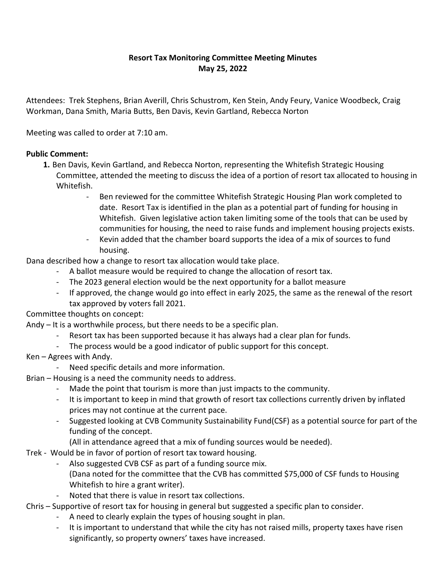### **Resort Tax Monitoring Committee Meeting Minutes May 25, 2022**

Attendees: Trek Stephens, Brian Averill, Chris Schustrom, Ken Stein, Andy Feury, Vanice Woodbeck, Craig Workman, Dana Smith, Maria Butts, Ben Davis, Kevin Gartland, Rebecca Norton

Meeting was called to order at 7:10 am.

### **Public Comment:**

- **1.** Ben Davis, Kevin Gartland, and Rebecca Norton, representing the Whitefish Strategic Housing Committee, attended the meeting to discuss the idea of a portion of resort tax allocated to housing in Whitefish.
	- Ben reviewed for the committee Whitefish Strategic Housing Plan work completed to date. Resort Tax is identified in the plan as a potential part of funding for housing in Whitefish. Given legislative action taken limiting some of the tools that can be used by communities for housing, the need to raise funds and implement housing projects exists.
	- Kevin added that the chamber board supports the idea of a mix of sources to fund housing.

Dana described how a change to resort tax allocation would take place.

- A ballot measure would be required to change the allocation of resort tax.
- The 2023 general election would be the next opportunity for a ballot measure
- If approved, the change would go into effect in early 2025, the same as the renewal of the resort tax approved by voters fall 2021.

Committee thoughts on concept:

Andy – It is a worthwhile process, but there needs to be a specific plan.

- Resort tax has been supported because it has always had a clear plan for funds.
- The process would be a good indicator of public support for this concept.
- Ken Agrees with Andy.
	- Need specific details and more information.

Brian – Housing is a need the community needs to address.

- Made the point that tourism is more than just impacts to the community.
- It is important to keep in mind that growth of resort tax collections currently driven by inflated prices may not continue at the current pace.
- Suggested looking at CVB Community Sustainability Fund(CSF) as a potential source for part of the funding of the concept.
	- (All in attendance agreed that a mix of funding sources would be needed).
- Trek Would be in favor of portion of resort tax toward housing.
	- Also suggested CVB CSF as part of a funding source mix. (Dana noted for the committee that the CVB has committed \$75,000 of CSF funds to Housing Whitefish to hire a grant writer).
	- Noted that there is value in resort tax collections.
- Chris Supportive of resort tax for housing in general but suggested a specific plan to consider.
	- A need to clearly explain the types of housing sought in plan.
	- It is important to understand that while the city has not raised mills, property taxes have risen significantly, so property owners' taxes have increased.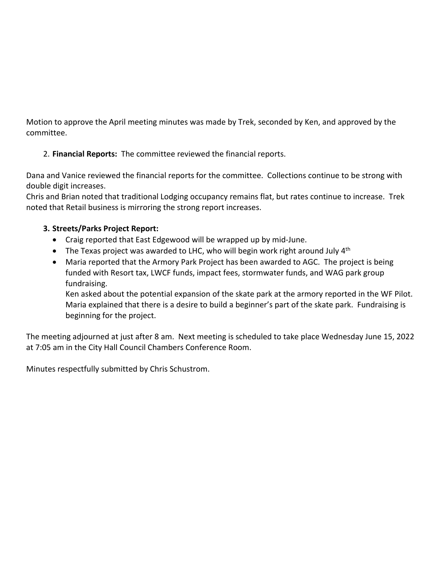Motion to approve the April meeting minutes was made by Trek, seconded by Ken, and approved by the committee.

2. **Financial Reports:** The committee reviewed the financial reports.

Dana and Vanice reviewed the financial reports for the committee. Collections continue to be strong with double digit increases.

Chris and Brian noted that traditional Lodging occupancy remains flat, but rates continue to increase. Trek noted that Retail business is mirroring the strong report increases.

### **3. Streets/Parks Project Report:**

- Craig reported that East Edgewood will be wrapped up by mid-June.
- The Texas project was awarded to LHC, who will begin work right around July  $4<sup>th</sup>$
- Maria reported that the Armory Park Project has been awarded to AGC. The project is being funded with Resort tax, LWCF funds, impact fees, stormwater funds, and WAG park group fundraising.

Ken asked about the potential expansion of the skate park at the armory reported in the WF Pilot. Maria explained that there is a desire to build a beginner's part of the skate park. Fundraising is beginning for the project.

The meeting adjourned at just after 8 am. Next meeting is scheduled to take place Wednesday June 15, 2022 at 7:05 am in the City Hall Council Chambers Conference Room.

Minutes respectfully submitted by Chris Schustrom.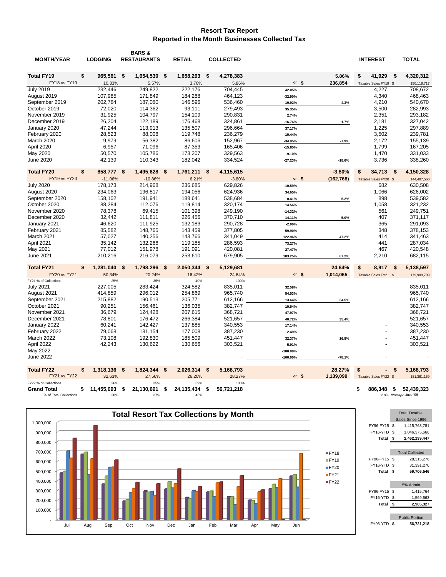#### **Resort Tax Report Reported in the Month Businesses Collected Tax**

|                        |                  |      | <b>BARS &amp;</b>  |      |               |     |                  |            |            |                       |                        |
|------------------------|------------------|------|--------------------|------|---------------|-----|------------------|------------|------------|-----------------------|------------------------|
| <b>MONTH/YEAR</b>      | <b>LODGING</b>   |      | <b>RESTAURANTS</b> |      | <b>RETAIL</b> |     | <b>COLLECTED</b> |            |            | <b>INTEREST</b>       | <b>TOTAL</b>           |
| <b>Total FY19</b>      | \$<br>965,561 \$ |      | 1,654,530          | - \$ | 1,658,293     | \$  | 4,278,383        |            | 5.86%      | 41,929<br>\$          | 4,320,312<br>\$        |
| FY18 vs FY19           | 10.33%           |      | 5.57%              |      | 3.70%         |     | 5.86%            | or $$$     | 236,854    | Taxable Sales FY19 \$ | 150,118,717            |
| <b>July 2019</b>       | 232,446          |      | 249,822            |      | 222,176       |     | 704,445          | 42.05%     |            | 4,227                 | 708,672                |
| August 2019            | 107,985          |      | 171,849            |      | 184,288       |     | 464,123          | -32.90%    |            | 4,340                 | 468,463                |
| September 2019         | 202,784          |      | 187,080            |      | 146,596       |     | 536,460          | 19.92%     | 4.3%       | 4,210                 | 540,670                |
| October 2019           | 72,020           |      | 114,362            |      | 93,111        |     | 279,493          | 35.35%     |            | 3,500                 | 282,993                |
| November 2019          | 31,925           |      | 104,797            |      | 154,109       |     | 290,831          | 2.74%      |            | 2,351                 | 293,182                |
| December 2019          | 26,204           |      | 122,189            |      | 176,468       |     | 324,861          | $-16.76%$  | 1.7%       | 2,181                 | 327,042                |
| January 2020           | 47,244           |      | 113,913            |      | 135,507       |     | 296,664          | 37.17%     |            | 1,225                 | 297,889                |
| February 2020          | 28,523           |      | 88,008             |      | 119,748       |     | 236,279          | $-19.44%$  |            | 3,502                 | 239,781                |
| March 2020             | 9,979            |      | 56,382             |      | 86,606        |     | 152,967          | $-34.95%$  | $-7.9%$    | 2,172                 | 155,139                |
| April 2020             | 6,957            |      | 71,096             |      | 87,353        |     | 165,406          | $-15.85%$  |            | 1,799                 | 167,205                |
| May 2020               | 50,570           |      | 105,786            |      | 173,207       |     | 329,563          | $-9.10%$   |            | 1,470                 | 331,033                |
| <b>June 2020</b>       | 42,139           |      | 110,343            |      | 182,042       |     | 334,524          | $-27.23%$  | $-18.6%$   | 3,736                 | 338,260                |
|                        |                  |      |                    |      |               |     |                  |            |            |                       |                        |
| <b>Total FY20</b>      | \$<br>858,777 \$ |      | 1,495,628          | - \$ | 1,761,211     | \$  | 4,115,615        |            | $-3.80%$   | \$<br>34,713          | 4,150,328<br>S         |
| <b>FY19 vs FY20</b>    | $-11.06%$        |      | $-10.86%$          |      | 6.21%         |     | $-3.80%$         | or $$$     | (162, 768) | Taxable Sales FY20 \$ | 144,407,560            |
| <b>July 2020</b>       | 178,173          |      | 214,968            |      | 236,685       |     | 629,826          | $-10.59%$  |            | 682                   | 630,508                |
| August 2020            | 234,063          |      | 196,817            |      | 194,056       |     | 624,936          | 34.65%     |            | 1,066                 | 626,002                |
| September 2020         | 158,102          |      | 191,941            |      | 188,641       |     | 538,684          | 0.41%      | 5.2%       | 898                   | 539,582                |
| October 2020           | 88,284           |      | 112,076            |      | 119,814       |     | 320,174          | 14.56%     |            | 1,058                 | 321,232                |
| November 2020          | 78,378           |      | 69,415             |      | 101,398       |     | 249,190          | $-14.32%$  |            | 561                   | 249,751                |
| December 2020          | 32,442           |      | 111,811            |      | 226,456       |     | 370,710          | 14.11%     | 5.0%       | 407                   | 371,117                |
| January 2021           | 46,620           |      | 111,925            |      | 132,183       |     | 290,728          | $-2.00%$   |            | 365                   | 291,093                |
| February 2021          | 85,582           |      | 148,765            |      | 143,459       |     | 377,805          | 59.90%     |            | 348                   | 378,153                |
| March 2021             | 57,027           |      | 140,256            |      | 143,766       |     | 341,049          | 122.96%    | 47.2%      | 414                   | 341,463                |
| April 2021             | 35,142           |      | 132,266            |      | 119,185       |     | 286,593          | 73.27%     |            | 441                   | 287,034                |
| May 2021               | 77,012           |      | 151,978            |      | 191,091       |     | 420,081          | 27.47%     |            | 467                   | 420,548                |
| <b>June 2021</b>       | 210,216          |      | 216,079            |      | 253,610       |     | 679,905          | 103.25%    | 67.2%      | 2,210                 | 682,115                |
| <b>Total FY21</b>      | \$<br>1,281,040  | \$   | 1,798,296          | - \$ | 2,050,344     | \$  | 5,129,681        |            | 24.64%     | \$<br>8,917           | 5,138,597<br>\$        |
| <b>FY20 vs FY21</b>    | 50.34%           |      | 20.24%             |      | 16.42%        |     | 24.64%           | or $$$     | 1,014,065  | Taxable Sales FY21 \$ | 179,988,799            |
| FY21 % of Collections  | 25%              |      | 35%                |      | 40%           |     | 100%             |            |            |                       |                        |
| <b>July 2021</b>       | 227,005          |      | 283,424            |      | 324,582       |     | 835,011          | 32.58%     |            |                       | 835,011                |
| August 2021            | 414,859          |      | 296.012            |      | 254.869       |     | 965.740          | 54.53%     |            |                       | 965.740                |
| September 2021         | 215,882          |      | 190,513            |      | 205,771       |     | 612,166          | 13.64%     | 34.5%      |                       | 612,166                |
| October 2021           | 90,251           |      | 156,461            |      | 136,035       |     | 382,747          | 19.54%     |            |                       | 382,747                |
| November 2021          | 36,679           |      | 124,428            |      | 207,615       |     | 368,721          | 47.97%     |            |                       | 368,721                |
| December 2021          | 78,801           |      | 176,472            |      | 266,384       |     | 521,657          | 40.72%     | 35.4%      |                       | 521,657                |
| January 2022           | 60,241           |      | 142,427            |      | 137,885       |     | 340,553          | 17.14%     |            |                       | 340,553                |
| February 2022          | 79,068           |      | 131,154            |      | 177,008       |     | 387,230          | 2.49%      |            |                       | 387,230                |
| March 2022             | 73,108           |      | 192,830            |      | 185,509       |     | 451,447          | 32.37%     | 16.8%      |                       | 451,447                |
| April 2022             | 42,243           |      | 130,622            |      | 130,656       |     | 303,521          | 5.91%      |            |                       | 303,521                |
| May 2022               |                  |      |                    |      |               |     |                  | $-100.00%$ |            |                       |                        |
| <b>June 2022</b>       |                  |      |                    |      |               |     |                  | $-100.00%$ | $-78.1%$   |                       |                        |
| <b>Total FY22</b>      | \$<br>1,318,136  | - \$ | 1,824,344          | - \$ | 2,026,314     | -\$ | 5,168,793        |            | 28.27%     | \$                    | 5,168,793<br>\$        |
| <b>FY21 vs FY22</b>    | 32.63%           |      | 27.56%             |      | 26.20%        |     | 28.27%           | or $$$     | 1,139,099  | Taxable Sales FY22 \$ | 181,361,169            |
| FY22 % of Collections  | 26%              |      | 35%                |      | 39%           |     | 100%             |            |            |                       |                        |
| <b>Grand Total</b>     | \$<br>11,455,093 | \$   | 21,130,691         | \$   | 24,135,434    | \$  | 56,721,218       |            |            | \$<br>886.348         | - \$<br>52,439,323     |
| % of Total Collections | 20%              |      | 37%                |      | 43%           |     |                  |            |            |                       | 2.9% Average since '96 |

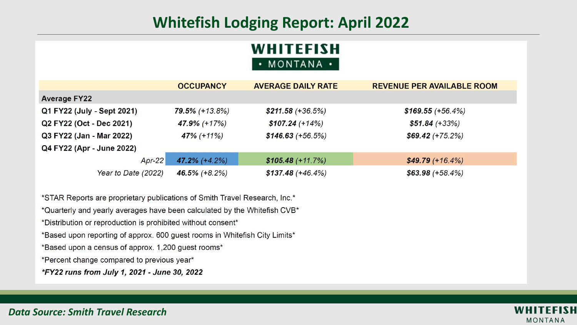# **Whitefish Lodging Report: April 2022**

# **WHITEFISH** • MONTANA •

|                            | <b>OCCUPANCY</b>  | <b>AVERAGE DAILY RATE</b> | <b>REVENUE PER AVAILABLE ROOM</b> |
|----------------------------|-------------------|---------------------------|-----------------------------------|
| <b>Average FY22</b>        |                   |                           |                                   |
| Q1 FY22 (July - Sept 2021) | $79.5\%$ (+13.8%) | $$211.58 (+36.5%)$        | $$169.55 (+56.4%)$                |
| Q2 FY22 (Oct - Dec 2021)   | 47.9% (+17%)      | $$107.24 (+14%)$          | $$51.84 (+33%)$                   |
| Q3 FY22 (Jan - Mar 2022)   | $47\%$ (+11%)     | $$146.63 (+56.5%)$        | $$69.42 (+75.2%)$                 |
| Q4 FY22 (Apr - June 2022)  |                   |                           |                                   |
| $Apr-22$                   | $47.2\%$ (+4.2%)  | $$105.48 (+11.7%)$        | $$49.79(+16.4%)$                  |
| Year to Date (2022)        | 46.5% $(+8.2%)$   | $$137.48 (+46.4%)$        | $$63.98 (+58.4%)$                 |

\*STAR Reports are proprietary publications of Smith Travel Research, Inc.\*

\*Quarterly and yearly averages have been calculated by the Whitefish CVB\*

\*Distribution or reproduction is prohibited without consent\*

\*Based upon reporting of approx. 600 guest rooms in Whitefish City Limits\*

\*Based upon a census of approx. 1,200 guest rooms\*

\*Percent change compared to previous year\*

\*FY22 runs from July 1, 2021 - June 30, 2022

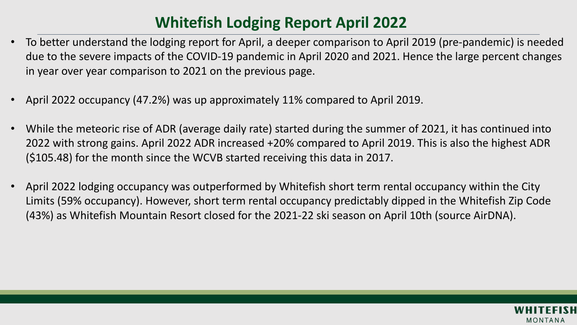# **Whitefish Lodging Report April 2022**

- To better understand the lodging report for April, a deeper comparison to April 2019 (pre-pandemic) is needed due to the severe impacts of the COVID-19 pandemic in April 2020 and 2021. Hence the large percent changes in year over year comparison to 2021 on the previous page.
- April 2022 occupancy (47.2%) was up approximately 11% compared to April 2019.
- While the meteoric rise of ADR (average daily rate) started during the summer of 2021, it has continued into 2022 with strong gains. April 2022 ADR increased +20% compared to April 2019. This is also the highest ADR (\$105.48) for the month since the WCVB started receiving this data in 2017.
- April 2022 lodging occupancy was outperformed by Whitefish short term rental occupancy within the City Limits (59% occupancy). However, short term rental occupancy predictably dipped in the Whitefish Zip Code (43%) as Whitefish Mountain Resort closed for the 2021-22 ski season on April 10th (source AirDNA).

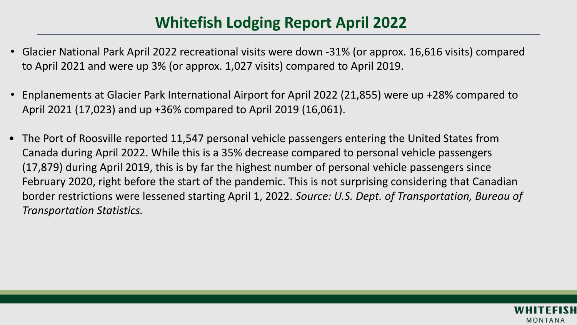# **Whitefish Lodging Report April 2022**

- Glacier National Park April 2022 recreational visits were down -31% (or approx. 16,616 visits) compared to April 2021 and were up 3% (or approx. 1,027 visits) compared to April 2019.
- Enplanements at Glacier Park International Airport for April 2022 (21,855) were up +28% compared to April 2021 (17,023) and up +36% compared to April 2019 (16,061).
- The Port of Roosville reported 11,547 personal vehicle passengers entering the United States from Canada during April 2022. While this is a 35% decrease compared to personal vehicle passengers (17,879) during April 2019, this is by far the highest number of personal vehicle passengers since February 2020, right before the start of the pandemic. This is not surprising considering that Canadian border restrictions were lessened starting April 1, 2022. *Source: U.S. Dept. of Transportation, Bureau of Transportation Statistics.*

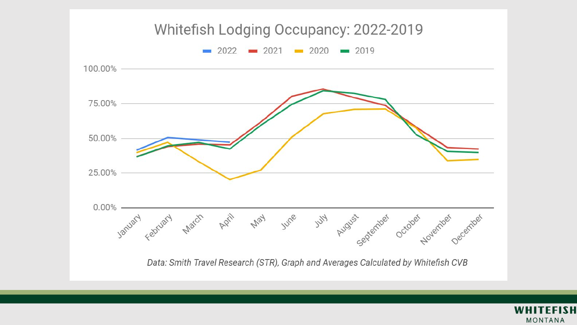

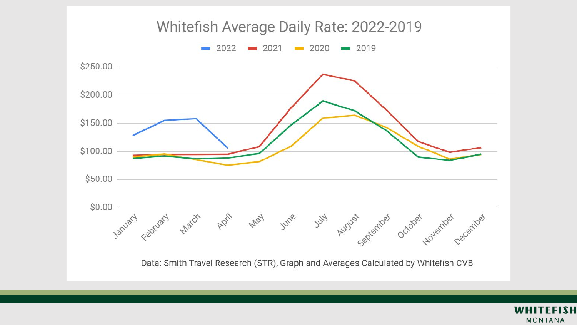

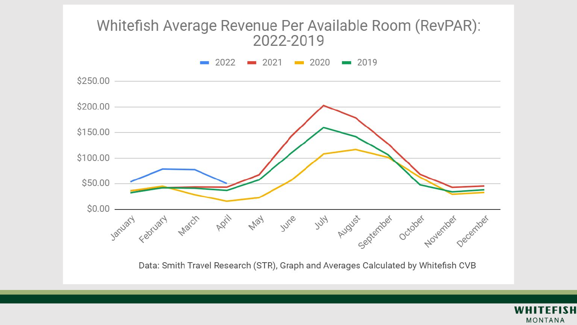